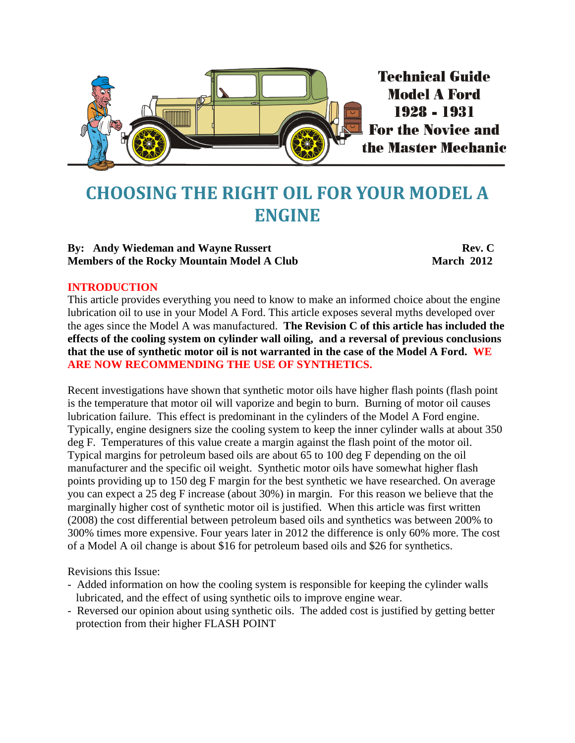

# <span id="page-0-0"></span>**CHOOSING THE RIGHT OIL FOR YOUR MODEL A ENGINE**

#### **By:** Andy Wiedeman and Wayne Russert **Rev. C Rev. C Members of the Rocky Mountain Model A Club March 2012**

#### **INTRODUCTION**

This article provides everything you need to know to make an informed choice about the engine lubrication oil to use in your Model A Ford. This article exposes several myths developed over the ages since the Model A was manufactured. **The Revision C of this article has included the effects of the cooling system on cylinder wall oiling, and a reversal of previous conclusions that the use of synthetic motor oil is not warranted in the case of the Model A Ford. WE ARE NOW RECOMMENDING THE USE OF SYNTHETICS.** 

Recent investigations have shown that synthetic motor oils have higher flash points (flash point is the temperature that motor oil will vaporize and begin to burn. Burning of motor oil causes lubrication failure. This effect is predominant in the cylinders of the Model A Ford engine. Typically, engine designers size the cooling system to keep the inner cylinder walls at about 350 deg F. Temperatures of this value create a margin against the flash point of the motor oil. Typical margins for petroleum based oils are about 65 to 100 deg F depending on the oil manufacturer and the specific oil weight. Synthetic motor oils have somewhat higher flash points providing up to 150 deg F margin for the best synthetic we have researched. On average you can expect a 25 deg F increase (about 30%) in margin. For this reason we believe that the marginally higher cost of synthetic motor oil is justified. When this article was first written (2008) the cost differential between petroleum based oils and synthetics was between 200% to 300% times more expensive. Four years later in 2012 the difference is only 60% more. The cost of a Model A oil change is about \$16 for petroleum based oils and \$26 for synthetics.

Revisions this Issue:

- Added information on how the cooling system is responsible for keeping the cylinder walls lubricated, and the effect of using synthetic oils to improve engine wear.
- Reversed our opinion about using synthetic oils. The added cost is justified by getting better protection from their higher FLASH POINT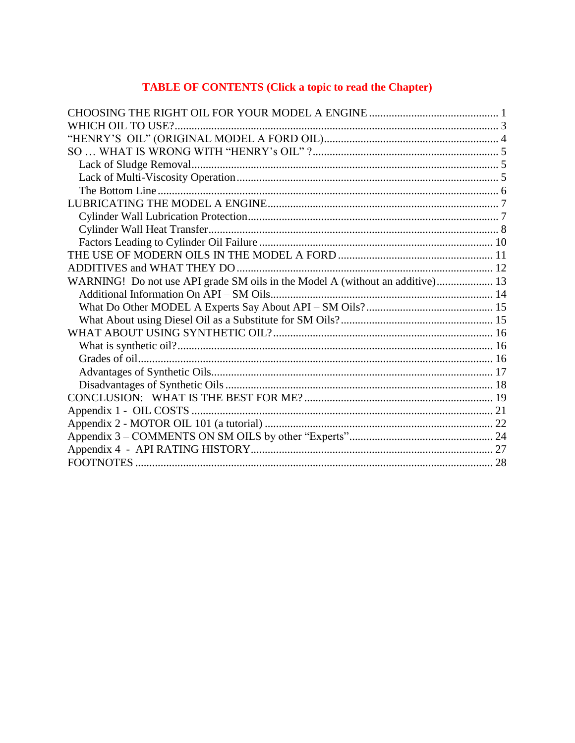## **TABLE OF CONTENTS (Click a topic to read the Chapter)**

| WHICH OIL TO USE?                                                             |  |
|-------------------------------------------------------------------------------|--|
|                                                                               |  |
|                                                                               |  |
|                                                                               |  |
|                                                                               |  |
|                                                                               |  |
|                                                                               |  |
|                                                                               |  |
|                                                                               |  |
|                                                                               |  |
|                                                                               |  |
|                                                                               |  |
| WARNING! Do not use API grade SM oils in the Model A (without an additive) 13 |  |
|                                                                               |  |
|                                                                               |  |
|                                                                               |  |
|                                                                               |  |
|                                                                               |  |
|                                                                               |  |
|                                                                               |  |
|                                                                               |  |
|                                                                               |  |
|                                                                               |  |
|                                                                               |  |
|                                                                               |  |
|                                                                               |  |
|                                                                               |  |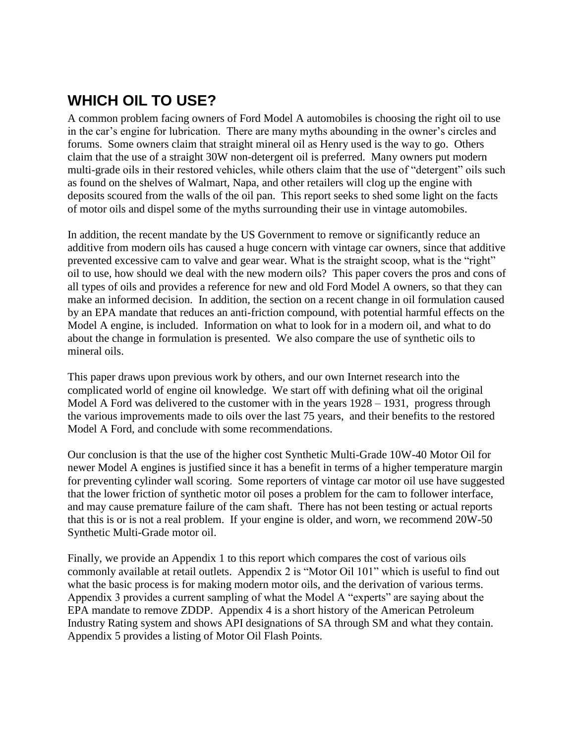# <span id="page-2-0"></span>**WHICH OIL TO USE?**

A common problem facing owners of Ford Model A automobiles is choosing the right oil to use in the car's engine for lubrication. There are many myths abounding in the owner's circles and forums. Some owners claim that straight mineral oil as Henry used is the way to go. Others claim that the use of a straight 30W non-detergent oil is preferred. Many owners put modern multi-grade oils in their restored vehicles, while others claim that the use of "detergent" oils such as found on the shelves of Walmart, Napa, and other retailers will clog up the engine with deposits scoured from the walls of the oil pan. This report seeks to shed some light on the facts of motor oils and dispel some of the myths surrounding their use in vintage automobiles.

In addition, the recent mandate by the US Government to remove or significantly reduce an additive from modern oils has caused a huge concern with vintage car owners, since that additive prevented excessive cam to valve and gear wear. What is the straight scoop, what is the "right" oil to use, how should we deal with the new modern oils? This paper covers the pros and cons of all types of oils and provides a reference for new and old Ford Model A owners, so that they can make an informed decision. In addition, the section on a recent change in oil formulation caused by an EPA mandate that reduces an anti-friction compound, with potential harmful effects on the Model A engine, is included. Information on what to look for in a modern oil, and what to do about the change in formulation is presented. We also compare the use of synthetic oils to mineral oils.

This paper draws upon previous work by others, and our own Internet research into the complicated world of engine oil knowledge. We start off with defining what oil the original Model A Ford was delivered to the customer with in the years  $1928 - 1931$ , progress through the various improvements made to oils over the last 75 years, and their benefits to the restored Model A Ford, and conclude with some recommendations.

Our conclusion is that the use of the higher cost Synthetic Multi-Grade 10W-40 Motor Oil for newer Model A engines is justified since it has a benefit in terms of a higher temperature margin for preventing cylinder wall scoring. Some reporters of vintage car motor oil use have suggested that the lower friction of synthetic motor oil poses a problem for the cam to follower interface, and may cause premature failure of the cam shaft. There has not been testing or actual reports that this is or is not a real problem. If your engine is older, and worn, we recommend 20W-50 Synthetic Multi-Grade motor oil.

Finally, we provide an Appendix 1 to this report which compares the cost of various oils commonly available at retail outlets. Appendix 2 is "Motor Oil 101" which is useful to find out what the basic process is for making modern motor oils, and the derivation of various terms. Appendix 3 provides a current sampling of what the Model A "experts" are saying about the EPA mandate to remove ZDDP. Appendix 4 is a short history of the American Petroleum Industry Rating system and shows API designations of SA through SM and what they contain. Appendix 5 provides a listing of Motor Oil Flash Points.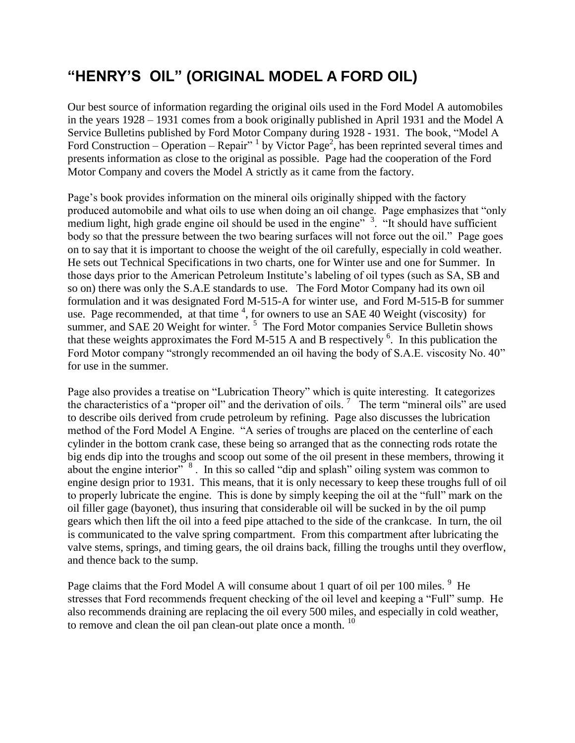# <span id="page-3-0"></span>**"HENRY'S OIL" (ORIGINAL MODEL A FORD OIL)**

Our best source of information regarding the original oils used in the Ford Model A automobiles in the years 1928 – 1931 comes from a book originally published in April 1931 and the Model A Service Bulletins published by Ford Motor Company during 1928 - 1931. The book, "Model A Ford Construction – Operation – Repair" <sup>1</sup> by Victor Page<sup>2</sup>, has been reprinted several times and presents information as close to the original as possible. Page had the cooperation of the Ford Motor Company and covers the Model A strictly as it came from the factory.

Page's book provides information on the mineral oils originally shipped with the factory produced automobile and what oils to use when doing an oil change. Page emphasizes that "only medium light, high grade engine oil should be used in the engine<sup> $\frac{3}{2}$ </sup>. "It should have sufficient body so that the pressure between the two bearing surfaces will not force out the oil." Page goes on to say that it is important to choose the weight of the oil carefully, especially in cold weather. He sets out Technical Specifications in two charts, one for Winter use and one for Summer. In those days prior to the American Petroleum Institute's labeling of oil types (such as SA, SB and so on) there was only the S.A.E standards to use. The Ford Motor Company had its own oil formulation and it was designated Ford M-515-A for winter use, and Ford M-515-B for summer use. Page recommended, at that time  $4$ , for owners to use an SAE 40 Weight (viscosity) for summer, and SAE 20 Weight for winter.<sup>5</sup> The Ford Motor companies Service Bulletin shows that these weights approximates the Ford M-515 A and B respectively  $6$ . In this publication the Ford Motor company "strongly recommended an oil having the body of S.A.E. viscosity No. 40" for use in the summer.

Page also provides a treatise on "Lubrication Theory" which is quite interesting. It categorizes the characteristics of a "proper oil" and the derivation of oils.<sup>7</sup> The term "mineral oils" are used to describe oils derived from crude petroleum by refining. Page also discusses the lubrication method of the Ford Model A Engine. "A series of troughs are placed on the centerline of each cylinder in the bottom crank case, these being so arranged that as the connecting rods rotate the big ends dip into the troughs and scoop out some of the oil present in these members, throwing it about the engine interior"<sup>8</sup>. In this so called "dip and splash" oiling system was common to engine design prior to 1931. This means, that it is only necessary to keep these troughs full of oil to properly lubricate the engine. This is done by simply keeping the oil at the "full" mark on the oil filler gage (bayonet), thus insuring that considerable oil will be sucked in by the oil pump gears which then lift the oil into a feed pipe attached to the side of the crankcase. In turn, the oil is communicated to the valve spring compartment. From this compartment after lubricating the valve stems, springs, and timing gears, the oil drains back, filling the troughs until they overflow, and thence back to the sump.

Page claims that the Ford Model A will consume about 1 quart of oil per 100 miles.  $9$  He stresses that Ford recommends frequent checking of the oil level and keeping a "Full" sump. He also recommends draining are replacing the oil every 500 miles, and especially in cold weather, to remove and clean the oil pan clean-out plate once a month. <sup>10</sup>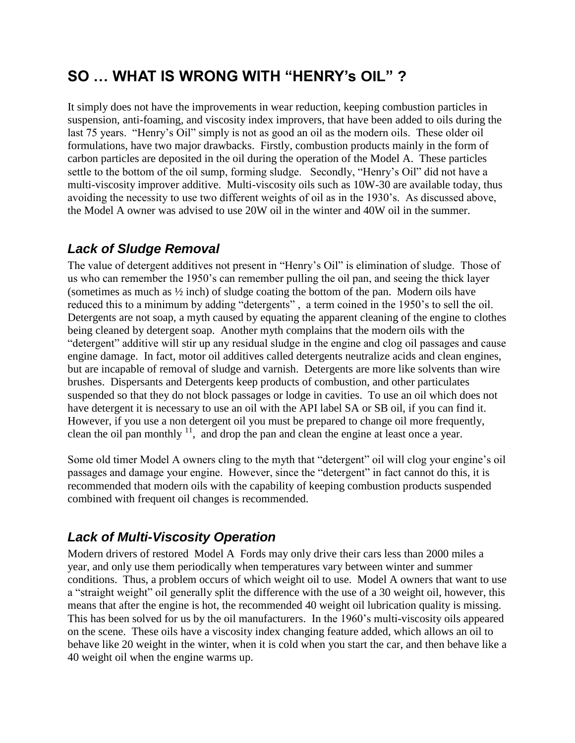## <span id="page-4-0"></span>**SO … WHAT IS WRONG WITH "HENRY's OIL" ?**

It simply does not have the improvements in wear reduction, keeping combustion particles in suspension, anti-foaming, and viscosity index improvers, that have been added to oils during the last 75 years. "Henry's Oil" simply is not as good an oil as the modern oils. These older oil formulations, have two major drawbacks. Firstly, combustion products mainly in the form of carbon particles are deposited in the oil during the operation of the Model A. These particles settle to the bottom of the oil sump, forming sludge. Secondly, "Henry's Oil" did not have a multi-viscosity improver additive. Multi-viscosity oils such as 10W-30 are available today, thus avoiding the necessity to use two different weights of oil as in the 1930's. As discussed above, the Model A owner was advised to use 20W oil in the winter and 40W oil in the summer.

## <span id="page-4-1"></span>*Lack of Sludge Removal*

The value of detergent additives not present in "Henry's Oil" is elimination of sludge. Those of us who can remember the 1950's can remember pulling the oil pan, and seeing the thick layer (sometimes as much as ½ inch) of sludge coating the bottom of the pan. Modern oils have reduced this to a minimum by adding "detergents" , a term coined in the 1950's to sell the oil. Detergents are not soap, a myth caused by equating the apparent cleaning of the engine to clothes being cleaned by detergent soap. Another myth complains that the modern oils with the "detergent" additive will stir up any residual sludge in the engine and clog oil passages and cause engine damage. In fact, motor oil additives called detergents neutralize acids and clean engines, but are incapable of removal of sludge and varnish. Detergents are more like solvents than wire brushes. Dispersants and Detergents keep products of combustion, and other particulates suspended so that they do not block passages or lodge in cavities. To use an oil which does not have detergent it is necessary to use an oil with the API label SA or SB oil, if you can find it. However, if you use a non detergent oil you must be prepared to change oil more frequently, clean the oil pan monthly  $11$ , and drop the pan and clean the engine at least once a year.

Some old timer Model A owners cling to the myth that "detergent" oil will clog your engine's oil passages and damage your engine. However, since the "detergent" in fact cannot do this, it is recommended that modern oils with the capability of keeping combustion products suspended combined with frequent oil changes is recommended.

## <span id="page-4-2"></span>*Lack of Multi-Viscosity Operation*

Modern drivers of restored Model A Fords may only drive their cars less than 2000 miles a year, and only use them periodically when temperatures vary between winter and summer conditions. Thus, a problem occurs of which weight oil to use. Model A owners that want to use a "straight weight" oil generally split the difference with the use of a 30 weight oil, however, this means that after the engine is hot, the recommended 40 weight oil lubrication quality is missing. This has been solved for us by the oil manufacturers. In the 1960's multi-viscosity oils appeared on the scene. These oils have a viscosity index changing feature added, which allows an oil to behave like 20 weight in the winter, when it is cold when you start the car, and then behave like a 40 weight oil when the engine warms up.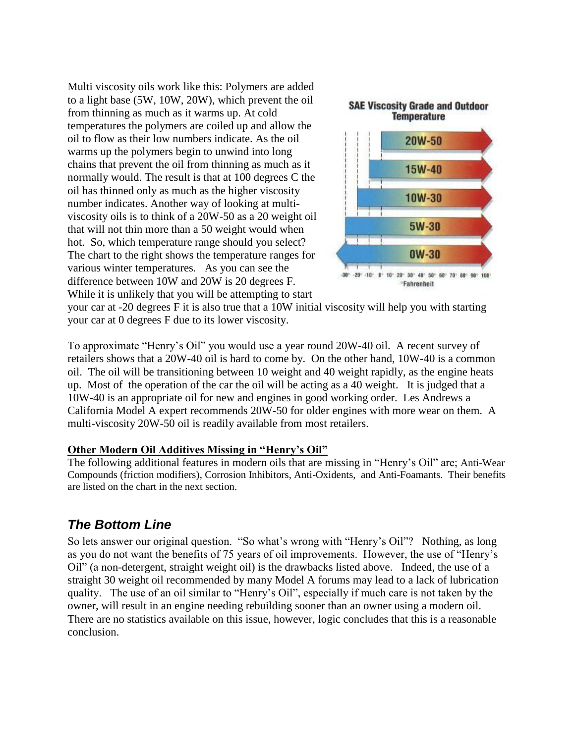Multi viscosity oils work like this: Polymers are added to a light base (5W, 10W, 20W), which prevent the oil from thinning as much as it warms up. At cold temperatures the polymers are coiled up and allow the oil to flow as their low numbers indicate. As the oil warms up the polymers begin to unwind into long chains that prevent the oil from thinning as much as it normally would. The result is that at 100 degrees C the oil has thinned only as much as the higher viscosity number indicates. Another way of looking at multiviscosity oils is to think of a 20W-50 as a 20 weight oil that will not thin more than a 50 weight would when hot. So, which temperature range should you select? The chart to the right shows the temperature ranges for various winter temperatures. As you can see the difference between 10W and 20W is 20 degrees F. While it is unlikely that you will be attempting to start



your car at -20 degrees F it is also true that a 10W initial viscosity will help you with starting your car at 0 degrees F due to its lower viscosity.

To approximate "Henry's Oil" you would use a year round 20W-40 oil. A recent survey of retailers shows that a 20W-40 oil is hard to come by. On the other hand, 10W-40 is a common oil. The oil will be transitioning between 10 weight and 40 weight rapidly, as the engine heats up. Most of the operation of the car the oil will be acting as a 40 weight. It is judged that a 10W-40 is an appropriate oil for new and engines in good working order. Les Andrews a California Model A expert recommends 20W-50 for older engines with more wear on them. A multi-viscosity 20W-50 oil is readily available from most retailers.

#### **Other Modern Oil Additives Missing in "Henry's Oil"**

The following additional features in modern oils that are missing in "Henry's Oil" are; Anti-Wear Compounds (friction modifiers), Corrosion Inhibitors, Anti-Oxidents, and Anti-Foamants. Their benefits are listed on the chart in the next section.

## <span id="page-5-0"></span>*The Bottom Line*

So lets answer our original question. "So what's wrong with "Henry's Oil"? Nothing, as long as you do not want the benefits of 75 years of oil improvements. However, the use of "Henry's Oil" (a non-detergent, straight weight oil) is the drawbacks listed above. Indeed, the use of a straight 30 weight oil recommended by many Model A forums may lead to a lack of lubrication quality. The use of an oil similar to "Henry's Oil", especially if much care is not taken by the owner, will result in an engine needing rebuilding sooner than an owner using a modern oil. There are no statistics available on this issue, however, logic concludes that this is a reasonable conclusion.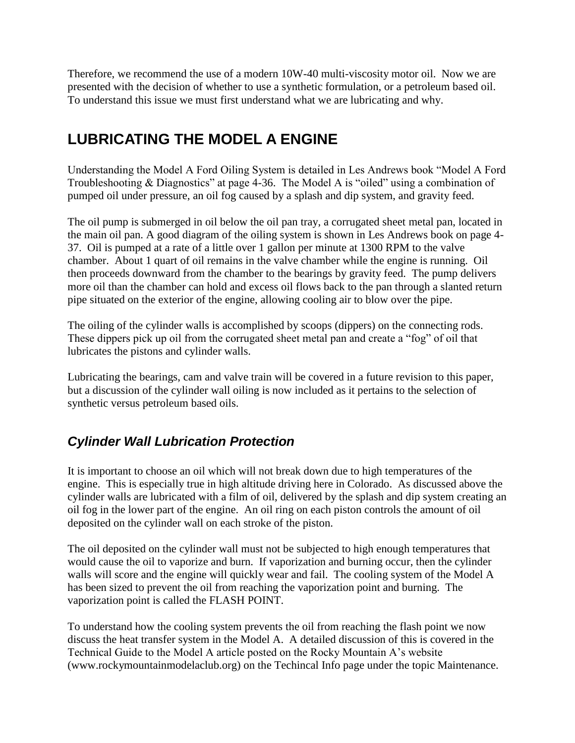Therefore, we recommend the use of a modern 10W-40 multi-viscosity motor oil. Now we are presented with the decision of whether to use a synthetic formulation, or a petroleum based oil. To understand this issue we must first understand what we are lubricating and why.

# <span id="page-6-0"></span>**LUBRICATING THE MODEL A ENGINE**

Understanding the Model A Ford Oiling System is detailed in Les Andrews book "Model A Ford Troubleshooting & Diagnostics" at page 4-36. The Model A is "oiled" using a combination of pumped oil under pressure, an oil fog caused by a splash and dip system, and gravity feed.

The oil pump is submerged in oil below the oil pan tray, a corrugated sheet metal pan, located in the main oil pan. A good diagram of the oiling system is shown in Les Andrews book on page 4- 37. Oil is pumped at a rate of a little over 1 gallon per minute at 1300 RPM to the valve chamber. About 1 quart of oil remains in the valve chamber while the engine is running. Oil then proceeds downward from the chamber to the bearings by gravity feed. The pump delivers more oil than the chamber can hold and excess oil flows back to the pan through a slanted return pipe situated on the exterior of the engine, allowing cooling air to blow over the pipe.

The oiling of the cylinder walls is accomplished by scoops (dippers) on the connecting rods. These dippers pick up oil from the corrugated sheet metal pan and create a "fog" of oil that lubricates the pistons and cylinder walls.

Lubricating the bearings, cam and valve train will be covered in a future revision to this paper, but a discussion of the cylinder wall oiling is now included as it pertains to the selection of synthetic versus petroleum based oils.

## <span id="page-6-1"></span>*Cylinder Wall Lubrication Protection*

It is important to choose an oil which will not break down due to high temperatures of the engine. This is especially true in high altitude driving here in Colorado. As discussed above the cylinder walls are lubricated with a film of oil, delivered by the splash and dip system creating an oil fog in the lower part of the engine. An oil ring on each piston controls the amount of oil deposited on the cylinder wall on each stroke of the piston.

The oil deposited on the cylinder wall must not be subjected to high enough temperatures that would cause the oil to vaporize and burn. If vaporization and burning occur, then the cylinder walls will score and the engine will quickly wear and fail. The cooling system of the Model A has been sized to prevent the oil from reaching the vaporization point and burning. The vaporization point is called the FLASH POINT.

To understand how the cooling system prevents the oil from reaching the flash point we now discuss the heat transfer system in the Model A. A detailed discussion of this is covered in the Technical Guide to the Model A article posted on the Rocky Mountain A's website (www.rockymountainmodelaclub.org) on the Techincal Info page under the topic Maintenance.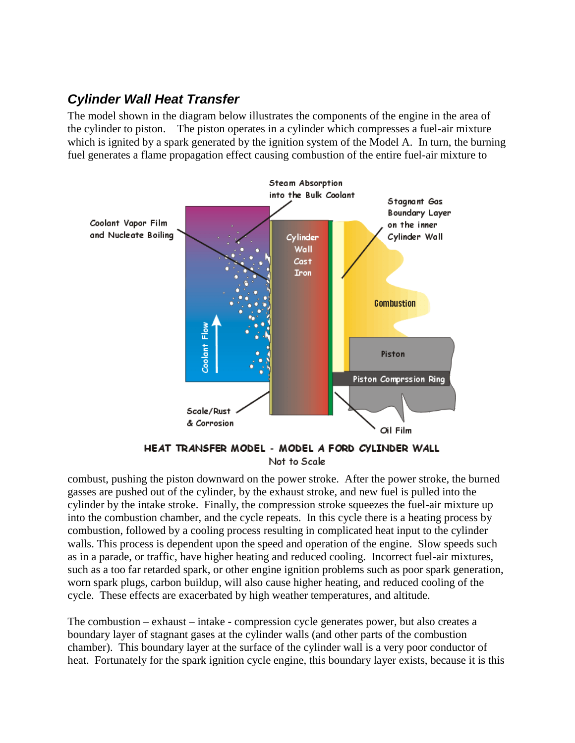## <span id="page-7-0"></span>*Cylinder Wall Heat Transfer*

The model shown in the diagram below illustrates the components of the engine in the area of the cylinder to piston. The piston operates in a cylinder which compresses a fuel-air mixture which is ignited by a spark generated by the ignition system of the Model A. In turn, the burning fuel generates a flame propagation effect causing combustion of the entire fuel-air mixture to



Not to Scale

combust, pushing the piston downward on the power stroke. After the power stroke, the burned gasses are pushed out of the cylinder, by the exhaust stroke, and new fuel is pulled into the cylinder by the intake stroke. Finally, the compression stroke squeezes the fuel-air mixture up into the combustion chamber, and the cycle repeats. In this cycle there is a heating process by combustion, followed by a cooling process resulting in complicated heat input to the cylinder walls. This process is dependent upon the speed and operation of the engine. Slow speeds such as in a parade, or traffic, have higher heating and reduced cooling. Incorrect fuel-air mixtures, such as a too far retarded spark, or other engine ignition problems such as poor spark generation, worn spark plugs, carbon buildup, will also cause higher heating, and reduced cooling of the cycle. These effects are exacerbated by high weather temperatures, and altitude.

The combustion – exhaust – intake - compression cycle generates power, but also creates a boundary layer of stagnant gases at the cylinder walls (and other parts of the combustion chamber). This boundary layer at the surface of the cylinder wall is a very poor conductor of heat. Fortunately for the spark ignition cycle engine, this boundary layer exists, because it is this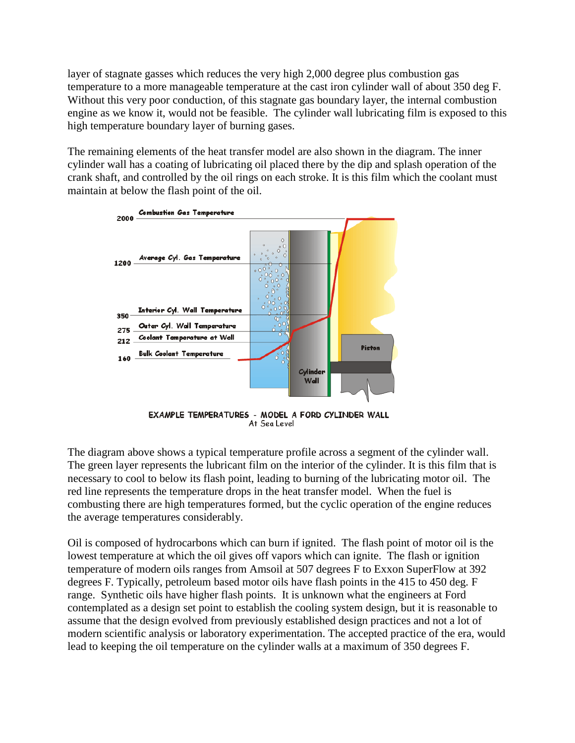layer of stagnate gasses which reduces the very high 2,000 degree plus combustion gas temperature to a more manageable temperature at the cast iron cylinder wall of about 350 deg F. Without this very poor conduction, of this stagnate gas boundary layer, the internal combustion engine as we know it, would not be feasible. The cylinder wall lubricating film is exposed to this high temperature boundary layer of burning gases.

The remaining elements of the heat transfer model are also shown in the diagram. The inner cylinder wall has a coating of lubricating oil placed there by the dip and splash operation of the crank shaft, and controlled by the oil rings on each stroke. It is this film which the coolant must maintain at below the flash point of the oil.



EXAMPLE TEMPERATURES - MODEL A FORD CYLINDER WALL At Sea Level

The diagram above shows a typical temperature profile across a segment of the cylinder wall. The green layer represents the lubricant film on the interior of the cylinder. It is this film that is necessary to cool to below its flash point, leading to burning of the lubricating motor oil. The red line represents the temperature drops in the heat transfer model. When the fuel is combusting there are high temperatures formed, but the cyclic operation of the engine reduces the average temperatures considerably.

Oil is composed of hydrocarbons which can burn if ignited. The flash point of motor oil is the lowest temperature at which the oil gives off vapors which can ignite. The flash or ignition temperature of modern oils ranges from Amsoil at 507 degrees F to Exxon SuperFlow at 392 degrees F. Typically, petroleum based motor oils have flash points in the 415 to 450 deg. F range. Synthetic oils have higher flash points. It is unknown what the engineers at Ford contemplated as a design set point to establish the cooling system design, but it is reasonable to assume that the design evolved from previously established design practices and not a lot of modern scientific analysis or laboratory experimentation. The accepted practice of the era, would lead to keeping the oil temperature on the cylinder walls at a maximum of 350 degrees F.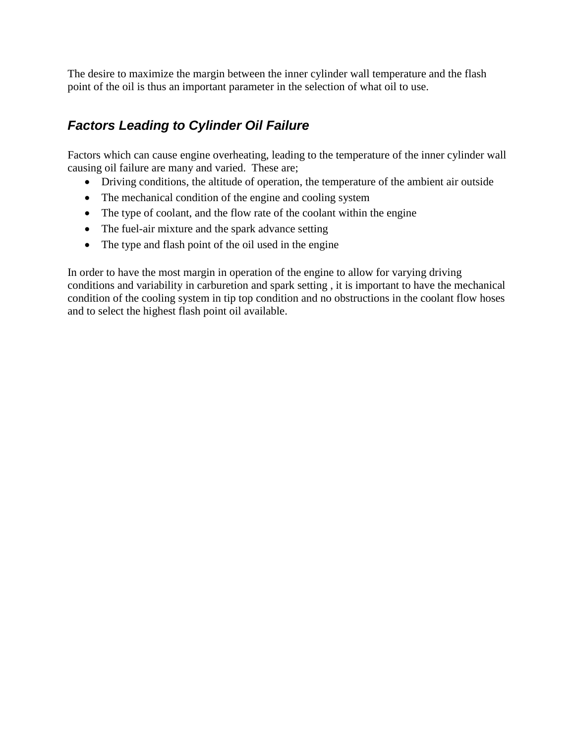The desire to maximize the margin between the inner cylinder wall temperature and the flash point of the oil is thus an important parameter in the selection of what oil to use.

## <span id="page-9-0"></span>*Factors Leading to Cylinder Oil Failure*

Factors which can cause engine overheating, leading to the temperature of the inner cylinder wall causing oil failure are many and varied. These are;

- Driving conditions, the altitude of operation, the temperature of the ambient air outside
- The mechanical condition of the engine and cooling system
- The type of coolant, and the flow rate of the coolant within the engine
- The fuel-air mixture and the spark advance setting
- The type and flash point of the oil used in the engine

In order to have the most margin in operation of the engine to allow for varying driving conditions and variability in carburetion and spark setting , it is important to have the mechanical condition of the cooling system in tip top condition and no obstructions in the coolant flow hoses and to select the highest flash point oil available.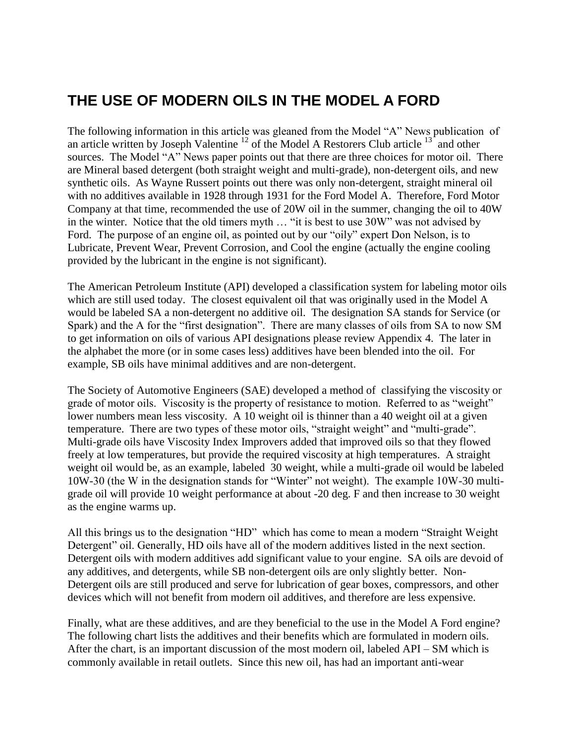## <span id="page-10-0"></span>**THE USE OF MODERN OILS IN THE MODEL A FORD**

The following information in this article was gleaned from the Model "A" News publication of an article written by Joseph Valentine  $^{12}$  of the Model A Restorers Club article  $^{13}$  and other sources. The Model "A" News paper points out that there are three choices for motor oil. There are Mineral based detergent (both straight weight and multi-grade), non-detergent oils, and new synthetic oils. As Wayne Russert points out there was only non-detergent, straight mineral oil with no additives available in 1928 through 1931 for the Ford Model A. Therefore, Ford Motor Company at that time, recommended the use of 20W oil in the summer, changing the oil to 40W in the winter. Notice that the old timers myth … "it is best to use 30W" was not advised by Ford. The purpose of an engine oil, as pointed out by our "oily" expert Don Nelson, is to Lubricate, Prevent Wear, Prevent Corrosion, and Cool the engine (actually the engine cooling provided by the lubricant in the engine is not significant).

The American Petroleum Institute (API) developed a classification system for labeling motor oils which are still used today. The closest equivalent oil that was originally used in the Model A would be labeled SA a non-detergent no additive oil. The designation SA stands for Service (or Spark) and the A for the "first designation". There are many classes of oils from SA to now SM to get information on oils of various API designations please review Appendix 4. The later in the alphabet the more (or in some cases less) additives have been blended into the oil. For example, SB oils have minimal additives and are non-detergent.

The Society of Automotive Engineers (SAE) developed a method of classifying the viscosity or grade of motor oils. Viscosity is the property of resistance to motion. Referred to as "weight" lower numbers mean less viscosity. A 10 weight oil is thinner than a 40 weight oil at a given temperature. There are two types of these motor oils, "straight weight" and "multi-grade". Multi-grade oils have Viscosity Index Improvers added that improved oils so that they flowed freely at low temperatures, but provide the required viscosity at high temperatures. A straight weight oil would be, as an example, labeled 30 weight, while a multi-grade oil would be labeled 10W-30 (the W in the designation stands for "Winter" not weight). The example 10W-30 multigrade oil will provide 10 weight performance at about -20 deg. F and then increase to 30 weight as the engine warms up.

All this brings us to the designation "HD" which has come to mean a modern "Straight Weight Detergent" oil. Generally, HD oils have all of the modern additives listed in the next section. Detergent oils with modern additives add significant value to your engine. SA oils are devoid of any additives, and detergents, while SB non-detergent oils are only slightly better. Non-Detergent oils are still produced and serve for lubrication of gear boxes, compressors, and other devices which will not benefit from modern oil additives, and therefore are less expensive.

Finally, what are these additives, and are they beneficial to the use in the Model A Ford engine? The following chart lists the additives and their benefits which are formulated in modern oils. After the chart, is an important discussion of the most modern oil, labeled API – SM which is commonly available in retail outlets. Since this new oil, has had an important anti-wear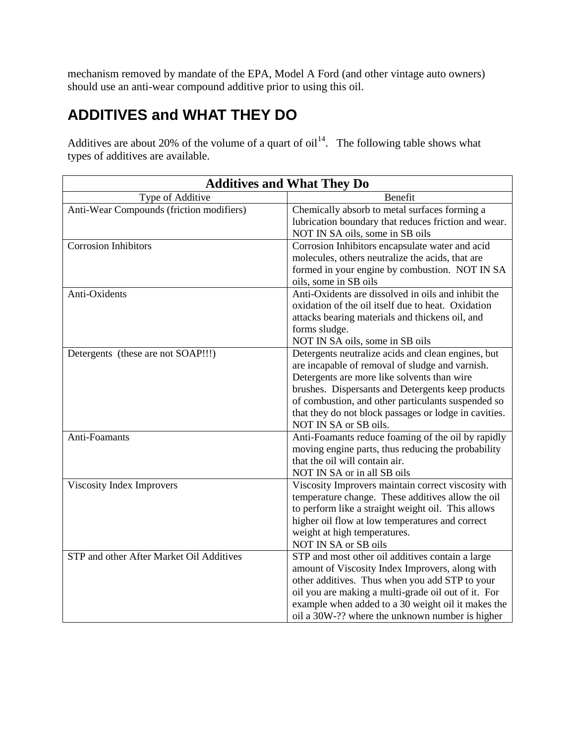mechanism removed by mandate of the EPA, Model A Ford (and other vintage auto owners) should use an anti-wear compound additive prior to using this oil.

# <span id="page-11-0"></span>**ADDITIVES and WHAT THEY DO**

Additives are about 20% of the volume of a quart of  $oil<sup>14</sup>$ . The following table shows what types of additives are available.

| <b>Additives and What They Do</b>        |                                                                                 |  |  |
|------------------------------------------|---------------------------------------------------------------------------------|--|--|
| Type of Additive                         | Benefit                                                                         |  |  |
| Anti-Wear Compounds (friction modifiers) | Chemically absorb to metal surfaces forming a                                   |  |  |
|                                          | lubrication boundary that reduces friction and wear.                            |  |  |
|                                          | NOT IN SA oils, some in SB oils                                                 |  |  |
| <b>Corrosion Inhibitors</b>              | Corrosion Inhibitors encapsulate water and acid                                 |  |  |
|                                          | molecules, others neutralize the acids, that are                                |  |  |
|                                          | formed in your engine by combustion. NOT IN SA                                  |  |  |
|                                          | oils, some in SB oils                                                           |  |  |
| Anti-Oxidents                            | Anti-Oxidents are dissolved in oils and inhibit the                             |  |  |
|                                          | oxidation of the oil itself due to heat. Oxidation                              |  |  |
|                                          | attacks bearing materials and thickens oil, and                                 |  |  |
|                                          | forms sludge.                                                                   |  |  |
|                                          | NOT IN SA oils, some in SB oils                                                 |  |  |
| Detergents (these are not SOAP!!!)       | Detergents neutralize acids and clean engines, but                              |  |  |
|                                          | are incapable of removal of sludge and varnish.                                 |  |  |
|                                          | Detergents are more like solvents than wire                                     |  |  |
|                                          | brushes. Dispersants and Detergents keep products                               |  |  |
|                                          | of combustion, and other particulants suspended so                              |  |  |
|                                          | that they do not block passages or lodge in cavities.                           |  |  |
|                                          | NOT IN SA or SB oils.                                                           |  |  |
| Anti-Foamants                            | Anti-Foamants reduce foaming of the oil by rapidly                              |  |  |
|                                          | moving engine parts, thus reducing the probability                              |  |  |
|                                          | that the oil will contain air.                                                  |  |  |
|                                          | NOT IN SA or in all SB oils                                                     |  |  |
| Viscosity Index Improvers                | Viscosity Improvers maintain correct viscosity with                             |  |  |
|                                          | temperature change. These additives allow the oil                               |  |  |
|                                          | to perform like a straight weight oil. This allows                              |  |  |
|                                          | higher oil flow at low temperatures and correct<br>weight at high temperatures. |  |  |
|                                          | NOT IN SA or SB oils                                                            |  |  |
| STP and other After Market Oil Additives | STP and most other oil additives contain a large                                |  |  |
|                                          | amount of Viscosity Index Improvers, along with                                 |  |  |
|                                          | other additives. Thus when you add STP to your                                  |  |  |
|                                          | oil you are making a multi-grade oil out of it. For                             |  |  |
|                                          | example when added to a 30 weight oil it makes the                              |  |  |
|                                          | oil a 30W-?? where the unknown number is higher                                 |  |  |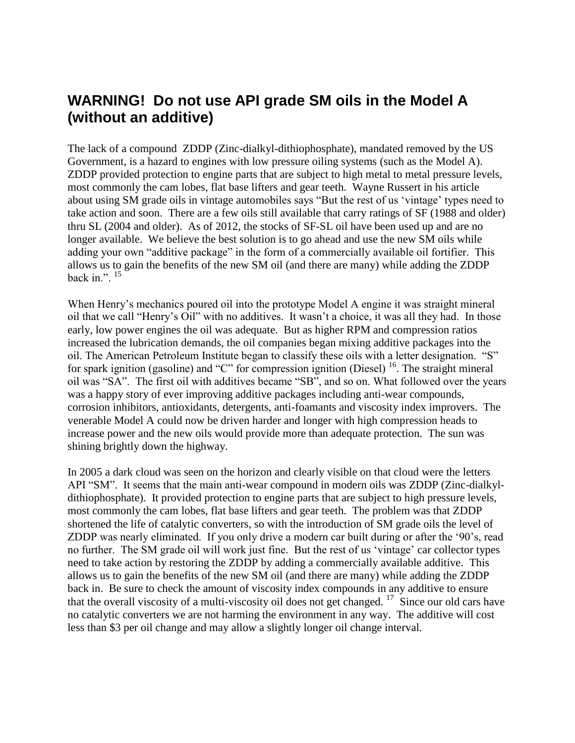## <span id="page-12-0"></span>**WARNING! Do not use API grade SM oils in the Model A (without an additive)**

The lack of a compound ZDDP (Zinc-dialkyl-dithiophosphate), mandated removed by the US Government, is a hazard to engines with low pressure oiling systems (such as the Model A). ZDDP provided protection to engine parts that are subject to high metal to metal pressure levels, most commonly the cam lobes, flat base lifters and gear teeth. Wayne Russert in his article about using SM grade oils in vintage automobiles says "But the rest of us 'vintage' types need to take action and soon. There are a few oils still available that carry ratings of SF (1988 and older) thru SL (2004 and older). As of 2012, the stocks of SF-SL oil have been used up and are no longer available. We believe the best solution is to go ahead and use the new SM oils while adding your own "additive package" in the form of a commercially available oil fortifier. This allows us to gain the benefits of the new SM oil (and there are many) while adding the ZDDP back in.".  $15$ 

When Henry's mechanics poured oil into the prototype Model A engine it was straight mineral oil that we call "Henry's Oil" with no additives. It wasn't a choice, it was all they had. In those early, low power engines the oil was adequate. But as higher RPM and compression ratios increased the lubrication demands, the oil companies began mixing additive packages into the oil. The American Petroleum Institute began to classify these oils with a letter designation. "S" for spark ignition (gasoline) and "C" for compression ignition (Diesel)  $^{16}$ . The straight mineral oil was "SA". The first oil with additives became "SB", and so on. What followed over the years was a happy story of ever improving additive packages including anti-wear compounds, corrosion inhibitors, antioxidants, detergents, anti-foamants and viscosity index improvers. The venerable Model A could now be driven harder and longer with high compression heads to increase power and the new oils would provide more than adequate protection. The sun was shining brightly down the highway.

In 2005 a dark cloud was seen on the horizon and clearly visible on that cloud were the letters API "SM". It seems that the main anti-wear compound in modern oils was ZDDP (Zinc-dialkyldithiophosphate). It provided protection to engine parts that are subject to high pressure levels, most commonly the cam lobes, flat base lifters and gear teeth. The problem was that ZDDP shortened the life of catalytic converters, so with the introduction of SM grade oils the level of ZDDP was nearly eliminated. If you only drive a modern car built during or after the '90's, read no further. The SM grade oil will work just fine. But the rest of us 'vintage' car collector types need to take action by restoring the ZDDP by adding a commercially available additive. This allows us to gain the benefits of the new SM oil (and there are many) while adding the ZDDP back in. Be sure to check the amount of viscosity index compounds in any additive to ensure that the overall viscosity of a multi-viscosity oil does not get changed.  $17$  Since our old cars have no catalytic converters we are not harming the environment in any way. The additive will cost less than \$3 per oil change and may allow a slightly longer oil change interval.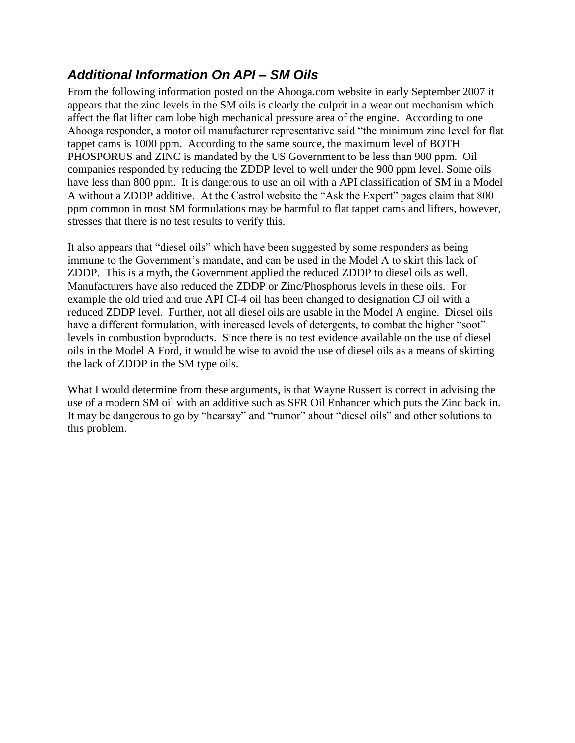## <span id="page-13-0"></span>*Additional Information On API – SM Oils*

From the following information posted on the Ahooga.com website in early September 2007 it appears that the zinc levels in the SM oils is clearly the culprit in a wear out mechanism which affect the flat lifter cam lobe high mechanical pressure area of the engine. According to one Ahooga responder, a motor oil manufacturer representative said "the minimum zinc level for flat tappet cams is 1000 ppm. According to the same source, the maximum level of BOTH PHOSPORUS and ZINC is mandated by the US Government to be less than 900 ppm. Oil companies responded by reducing the ZDDP level to well under the 900 ppm level. Some oils have less than 800 ppm. It is dangerous to use an oil with a API classification of SM in a Model A without a ZDDP additive. At the Castrol website the "Ask the Expert" pages claim that 800 ppm common in most SM formulations may be harmful to flat tappet cams and lifters, however, stresses that there is no test results to verify this.

It also appears that "diesel oils" which have been suggested by some responders as being immune to the Government's mandate, and can be used in the Model A to skirt this lack of ZDDP. This is a myth, the Government applied the reduced ZDDP to diesel oils as well. Manufacturers have also reduced the ZDDP or Zinc/Phosphorus levels in these oils. For example the old tried and true API CI-4 oil has been changed to designation CJ oil with a reduced ZDDP level. Further, not all diesel oils are usable in the Model A engine. Diesel oils have a different formulation, with increased levels of detergents, to combat the higher "soot" levels in combustion byproducts. Since there is no test evidence available on the use of diesel oils in the Model A Ford, it would be wise to avoid the use of diesel oils as a means of skirting the lack of ZDDP in the SM type oils.

What I would determine from these arguments, is that Wayne Russert is correct in advising the use of a modern SM oil with an additive such as SFR Oil Enhancer which puts the Zinc back in. It may be dangerous to go by "hearsay" and "rumor" about "diesel oils" and other solutions to this problem.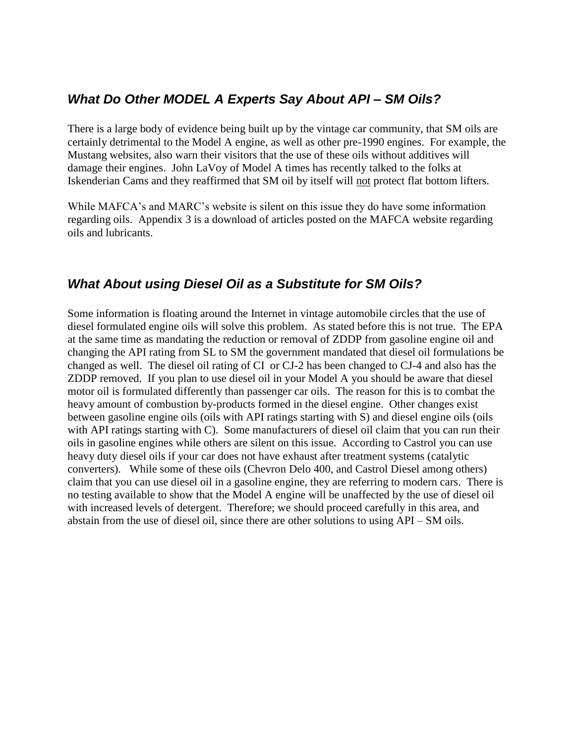### <span id="page-14-0"></span>*What Do Other MODEL A Experts Say About API – SM Oils?*

There is a large body of evidence being built up by the vintage car community, that SM oils are certainly detrimental to the Model A engine, as well as other pre-1990 engines. For example, the Mustang websites, also warn their visitors that the use of these oils without additives will damage their engines. John LaVoy of Model A times has recently talked to the folks at Iskenderian Cams and they reaffirmed that SM oil by itself will not protect flat bottom lifters.

While MAFCA's and MARC's website is silent on this issue they do have some information regarding oils. Appendix 3 is a download of articles posted on the MAFCA website regarding oils and lubricants.

### <span id="page-14-1"></span>*What About using Diesel Oil as a Substitute for SM Oils?*

Some information is floating around the Internet in vintage automobile circles that the use of diesel formulated engine oils will solve this problem. As stated before this is not true. The EPA at the same time as mandating the reduction or removal of ZDDP from gasoline engine oil and changing the API rating from SL to SM the government mandated that diesel oil formulations be changed as well. The diesel oil rating of CI or CJ-2 has been changed to CJ-4 and also has the ZDDP removed. If you plan to use diesel oil in your Model A you should be aware that diesel motor oil is formulated differently than passenger car oils. The reason for this is to combat the heavy amount of combustion by-products formed in the diesel engine. Other changes exist between gasoline engine oils (oils with API ratings starting with S) and diesel engine oils (oils with API ratings starting with C). Some manufacturers of diesel oil claim that you can run their oils in gasoline engines while others are silent on this issue. According to Castrol you can use heavy duty diesel oils if your car does not have exhaust after treatment systems (catalytic converters). While some of these oils (Chevron Delo 400, and Castrol Diesel among others) claim that you can use diesel oil in a gasoline engine, they are referring to modern cars. There is no testing available to show that the Model A engine will be unaffected by the use of diesel oil with increased levels of detergent. Therefore; we should proceed carefully in this area, and abstain from the use of diesel oil, since there are other solutions to using API – SM oils.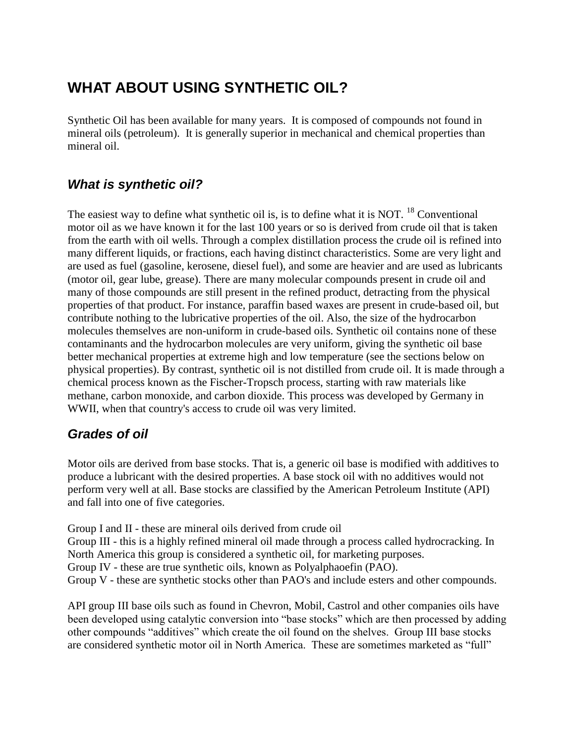# <span id="page-15-0"></span>**WHAT ABOUT USING SYNTHETIC OIL?**

Synthetic Oil has been available for many years. It is composed of compounds not found in mineral oils (petroleum). It is generally superior in mechanical and chemical properties than mineral oil.

## <span id="page-15-1"></span>*What is synthetic oil?*

The easiest way to define what synthetic oil is, is to define what it is NOT.  $^{18}$  Conventional motor oil as we have known it for the last 100 years or so is derived from crude oil that is taken from the earth with oil wells. Through a complex distillation process the crude oil is refined into many different liquids, or fractions, each having distinct characteristics. Some are very light and are used as fuel (gasoline, kerosene, diesel fuel), and some are heavier and are used as lubricants (motor oil, gear lube, grease). There are many molecular compounds present in crude oil and many of those compounds are still present in the refined product, detracting from the physical properties of that product. For instance, paraffin based waxes are present in crude-based oil, but contribute nothing to the lubricative properties of the oil. Also, the size of the hydrocarbon molecules themselves are non-uniform in crude-based oils. Synthetic oil contains none of these contaminants and the hydrocarbon molecules are very uniform, giving the synthetic oil base better mechanical properties at extreme high and low temperature (see the sections below on physical properties). By contrast, synthetic oil is not distilled from crude oil. It is made through a chemical process known as the Fischer-Tropsch process, starting with raw materials like methane, carbon monoxide, and carbon dioxide. This process was developed by Germany in WWII, when that country's access to crude oil was very limited.

## <span id="page-15-2"></span>*Grades of oil*

Motor oils are derived from base stocks. That is, a generic oil base is modified with additives to produce a lubricant with the desired properties. A base stock oil with no additives would not perform very well at all. Base stocks are classified by the American Petroleum Institute (API) and fall into one of five categories.

Group I and II - these are mineral oils derived from crude oil Group III - this is a highly refined mineral oil made through a process called hydrocracking. In North America this group is considered a synthetic oil, for marketing purposes. Group IV - these are true synthetic oils, known as Polyalphaoefin (PAO). Group V - these are synthetic stocks other than PAO's and include esters and other compounds.

API group III base oils such as found in Chevron, Mobil, Castrol and other companies oils have been developed using catalytic conversion into "base stocks" which are then processed by adding other compounds "additives" which create the oil found on the shelves. Group III base stocks are considered synthetic motor oil in North America. These are sometimes marketed as "full"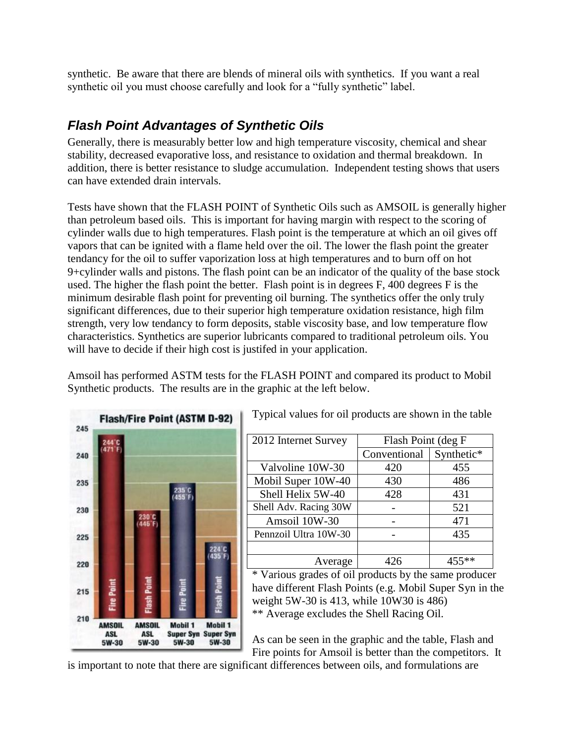synthetic. Be aware that there are blends of mineral oils with synthetics. If you want a real synthetic oil you must choose carefully and look for a "fully synthetic" label.

## <span id="page-16-0"></span>*Flash Point Advantages of Synthetic Oils*

Generally, there is measurably better low and high temperature viscosity, chemical and shear stability, decreased evaporative loss, and resistance to oxidation and thermal breakdown. In addition, there is better resistance to sludge accumulation. Independent testing shows that users can have extended drain intervals.

Tests have shown that the FLASH POINT of Synthetic Oils such as AMSOIL is generally higher than petroleum based oils. This is important for having margin with respect to the scoring of cylinder walls due to high temperatures. Flash point is the temperature at which an oil gives off vapors that can be ignited with a flame held over the oil. The lower the flash point the greater tendancy for the oil to suffer vaporization loss at high temperatures and to burn off on hot 9+cylinder walls and pistons. The flash point can be an indicator of the quality of the base stock used. The higher the flash point the better. Flash point is in degrees F, 400 degrees F is the minimum desirable flash point for preventing oil burning. The synthetics offer the only truly significant differences, due to their superior high temperature oxidation resistance, high film strength, very low tendancy to form deposits, stable viscosity base, and low temperature flow characteristics. Synthetics are superior lubricants compared to traditional petroleum oils. You will have to decide if their high cost is justifed in your application.

Amsoil has performed ASTM tests for the FLASH POINT and compared its product to Mobil Synthetic products. The results are in the graphic at the left below.



Typical values for oil products are shown in the table

| 2012 Internet Survey  | Flash Point (deg F |            |
|-----------------------|--------------------|------------|
|                       | Conventional       | Synthetic* |
| Valvoline 10W-30      | 420                | 455        |
| Mobil Super 10W-40    | 430                | 486        |
| Shell Helix 5W-40     | 428                | 431        |
| Shell Adv. Racing 30W |                    | 521        |
| Amsoil 10W-30         |                    | 471        |
| Pennzoil Ultra 10W-30 |                    | 435        |
|                       |                    |            |
| Average               |                    |            |

\* Various grades of oil products by the same producer have different Flash Points (e.g. Mobil Super Syn in the weight 5W-30 is 413, while 10W30 is 486) \*\* Average excludes the Shell Racing Oil.

As can be seen in the graphic and the table, Flash and Fire points for Amsoil is better than the competitors. It

is important to note that there are significant differences between oils, and formulations are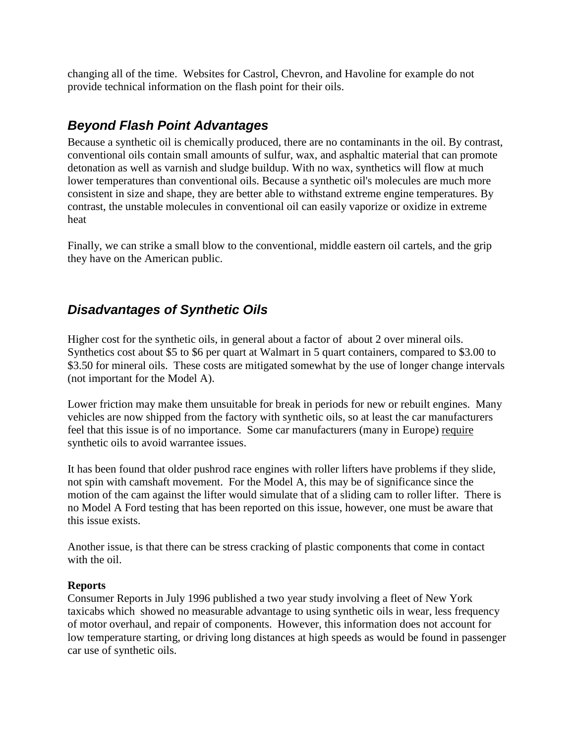changing all of the time. Websites for Castrol, Chevron, and Havoline for example do not provide technical information on the flash point for their oils.

### *Beyond Flash Point Advantages*

Because a synthetic oil is chemically produced, there are no contaminants in the oil. By contrast, conventional oils contain small amounts of sulfur, wax, and asphaltic material that can promote detonation as well as varnish and sludge buildup. With no wax, synthetics will flow at much lower temperatures than conventional oils. Because a synthetic oil's molecules are much more consistent in size and shape, they are better able to withstand extreme engine temperatures. By contrast, the unstable molecules in conventional oil can easily vaporize or oxidize in extreme heat

Finally, we can strike a small blow to the conventional, middle eastern oil cartels, and the grip they have on the American public.

## <span id="page-17-0"></span>*Disadvantages of Synthetic Oils*

Higher cost for the synthetic oils, in general about a factor of about 2 over mineral oils. Synthetics cost about \$5 to \$6 per quart at Walmart in 5 quart containers, compared to \$3.00 to \$3.50 for mineral oils. These costs are mitigated somewhat by the use of longer change intervals (not important for the Model A).

Lower friction may make them unsuitable for break in periods for new or rebuilt engines. Many vehicles are now shipped from the factory with synthetic oils, so at least the car manufacturers feel that this issue is of no importance. Some car manufacturers (many in Europe) require synthetic oils to avoid warrantee issues.

It has been found that older pushrod race engines with roller lifters have problems if they slide, not spin with camshaft movement. For the Model A, this may be of significance since the motion of the cam against the lifter would simulate that of a sliding cam to roller lifter. There is no Model A Ford testing that has been reported on this issue, however, one must be aware that this issue exists.

Another issue, is that there can be stress cracking of plastic components that come in contact with the oil.

#### **Reports**

Consumer Reports in July 1996 published a two year study involving a fleet of New York taxicabs which showed no measurable advantage to using synthetic oils in wear, less frequency of motor overhaul, and repair of components. However, this information does not account for low temperature starting, or driving long distances at high speeds as would be found in passenger car use of synthetic oils.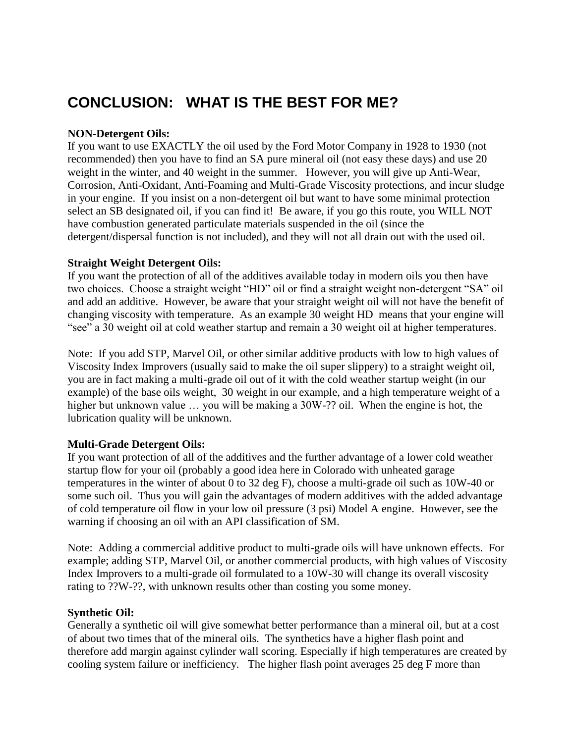## <span id="page-18-0"></span>**CONCLUSION: WHAT IS THE BEST FOR ME?**

#### **NON-Detergent Oils:**

If you want to use EXACTLY the oil used by the Ford Motor Company in 1928 to 1930 (not recommended) then you have to find an SA pure mineral oil (not easy these days) and use 20 weight in the winter, and 40 weight in the summer. However, you will give up Anti-Wear, Corrosion, Anti-Oxidant, Anti-Foaming and Multi-Grade Viscosity protections, and incur sludge in your engine. If you insist on a non-detergent oil but want to have some minimal protection select an SB designated oil, if you can find it! Be aware, if you go this route, you WILL NOT have combustion generated particulate materials suspended in the oil (since the detergent/dispersal function is not included), and they will not all drain out with the used oil.

#### **Straight Weight Detergent Oils:**

If you want the protection of all of the additives available today in modern oils you then have two choices. Choose a straight weight "HD" oil or find a straight weight non-detergent "SA" oil and add an additive. However, be aware that your straight weight oil will not have the benefit of changing viscosity with temperature. As an example 30 weight HD means that your engine will "see" a 30 weight oil at cold weather startup and remain a 30 weight oil at higher temperatures.

Note: If you add STP, Marvel Oil, or other similar additive products with low to high values of Viscosity Index Improvers (usually said to make the oil super slippery) to a straight weight oil, you are in fact making a multi-grade oil out of it with the cold weather startup weight (in our example) of the base oils weight, 30 weight in our example, and a high temperature weight of a higher but unknown value ... you will be making a 30W-?? oil. When the engine is hot, the lubrication quality will be unknown.

#### **Multi-Grade Detergent Oils:**

If you want protection of all of the additives and the further advantage of a lower cold weather startup flow for your oil (probably a good idea here in Colorado with unheated garage temperatures in the winter of about 0 to 32 deg F), choose a multi-grade oil such as 10W-40 or some such oil. Thus you will gain the advantages of modern additives with the added advantage of cold temperature oil flow in your low oil pressure (3 psi) Model A engine. However, see the warning if choosing an oil with an API classification of SM.

Note: Adding a commercial additive product to multi-grade oils will have unknown effects. For example; adding STP, Marvel Oil, or another commercial products, with high values of Viscosity Index Improvers to a multi-grade oil formulated to a 10W-30 will change its overall viscosity rating to ??W-??, with unknown results other than costing you some money.

#### **Synthetic Oil:**

Generally a synthetic oil will give somewhat better performance than a mineral oil, but at a cost of about two times that of the mineral oils. The synthetics have a higher flash point and therefore add margin against cylinder wall scoring. Especially if high temperatures are created by cooling system failure or inefficiency. The higher flash point averages 25 deg F more than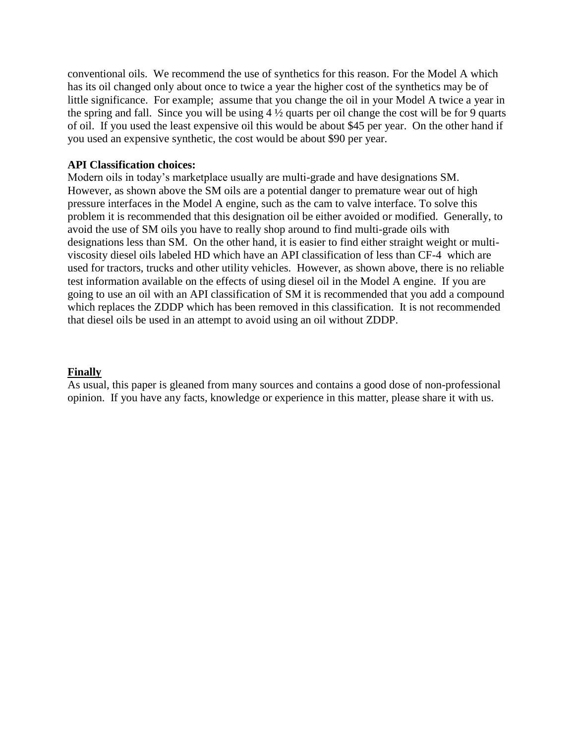conventional oils. We recommend the use of synthetics for this reason. For the Model A which has its oil changed only about once to twice a year the higher cost of the synthetics may be of little significance. For example; assume that you change the oil in your Model A twice a year in the spring and fall. Since you will be using  $4\frac{1}{2}$  quarts per oil change the cost will be for 9 quarts of oil. If you used the least expensive oil this would be about \$45 per year. On the other hand if you used an expensive synthetic, the cost would be about \$90 per year.

#### **API Classification choices:**

Modern oils in today's marketplace usually are multi-grade and have designations SM. However, as shown above the SM oils are a potential danger to premature wear out of high pressure interfaces in the Model A engine, such as the cam to valve interface. To solve this problem it is recommended that this designation oil be either avoided or modified. Generally, to avoid the use of SM oils you have to really shop around to find multi-grade oils with designations less than SM. On the other hand, it is easier to find either straight weight or multiviscosity diesel oils labeled HD which have an API classification of less than CF-4 which are used for tractors, trucks and other utility vehicles. However, as shown above, there is no reliable test information available on the effects of using diesel oil in the Model A engine. If you are going to use an oil with an API classification of SM it is recommended that you add a compound which replaces the ZDDP which has been removed in this classification. It is not recommended that diesel oils be used in an attempt to avoid using an oil without ZDDP.

#### **Finally**

As usual, this paper is gleaned from many sources and contains a good dose of non-professional opinion. If you have any facts, knowledge or experience in this matter, please share it with us.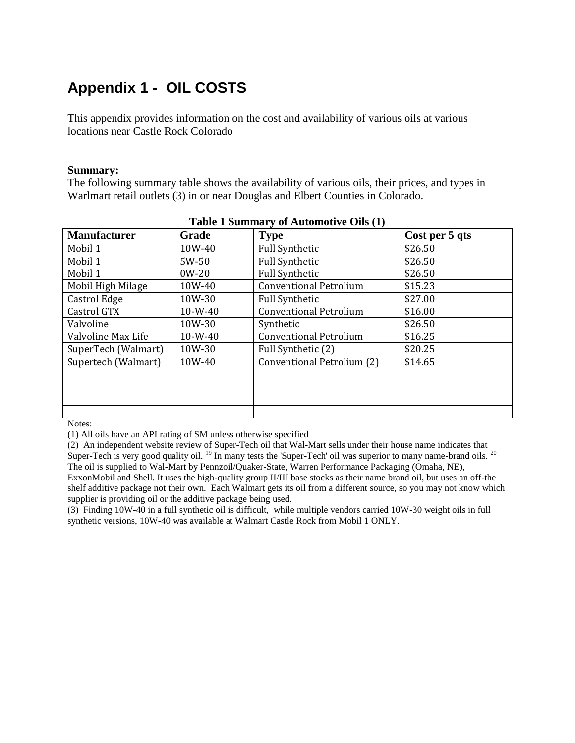# <span id="page-20-0"></span>**Appendix 1 - OIL COSTS**

This appendix provides information on the cost and availability of various oils at various locations near Castle Rock Colorado

#### **Summary:**

The following summary table shows the availability of various oils, their prices, and types in Warlmart retail outlets (3) in or near Douglas and Elbert Counties in Colorado.

| <b>Manufacturer</b> | Grade     | $1.4010 \pm 0.011111141$ , 01.11.001.1001, 0.000 (1)<br><b>Type</b> | Cost per 5 qts |
|---------------------|-----------|---------------------------------------------------------------------|----------------|
| Mobil 1             | 10W-40    | <b>Full Synthetic</b>                                               | \$26.50        |
| Mobil 1             | 5W-50     | <b>Full Synthetic</b>                                               | \$26.50        |
| Mobil 1             | $0W-20$   | <b>Full Synthetic</b>                                               | \$26.50        |
| Mobil High Milage   | 10W-40    | <b>Conventional Petrolium</b>                                       | \$15.23        |
| Castrol Edge        | 10W-30    | <b>Full Synthetic</b>                                               | \$27.00        |
| Castrol GTX         | $10-W-40$ | <b>Conventional Petrolium</b>                                       | \$16.00        |
| Valvoline           | 10W-30    | Synthetic                                                           | \$26.50        |
| Valvoline Max Life  | $10-W-40$ | <b>Conventional Petrolium</b>                                       | \$16.25        |
| SuperTech (Walmart) | 10W-30    | Full Synthetic (2)                                                  | \$20.25        |
| Supertech (Walmart) | 10W-40    | Conventional Petrolium (2)                                          | \$14.65        |
|                     |           |                                                                     |                |
|                     |           |                                                                     |                |
|                     |           |                                                                     |                |
|                     |           |                                                                     |                |

| Table 1 Summary of Automotive Oils (1) |  |  |  |  |
|----------------------------------------|--|--|--|--|
|----------------------------------------|--|--|--|--|

Notes:

(1) All oils have an API rating of SM unless otherwise specified

(2) An independent website review of Super-Tech oil that Wal-Mart sells under their house name indicates that Super-Tech is very good quality oil. <sup>19</sup> In many tests the 'Super-Tech' oil was superior to many name-brand oils. <sup>20</sup> The oil is supplied to Wal-Mart by Pennzoil/Quaker-State, Warren Performance Packaging (Omaha, NE), ExxonMobil and Shell. It uses the high-quality group II/III base stocks as their name brand oil, but uses an off-the

shelf additive package not their own. Each Walmart gets its oil from a different source, so you may not know which supplier is providing oil or the additive package being used.

(3) Finding 10W-40 in a full synthetic oil is difficult, while multiple vendors carried 10W-30 weight oils in full synthetic versions, 10W-40 was available at Walmart Castle Rock from Mobil 1 ONLY.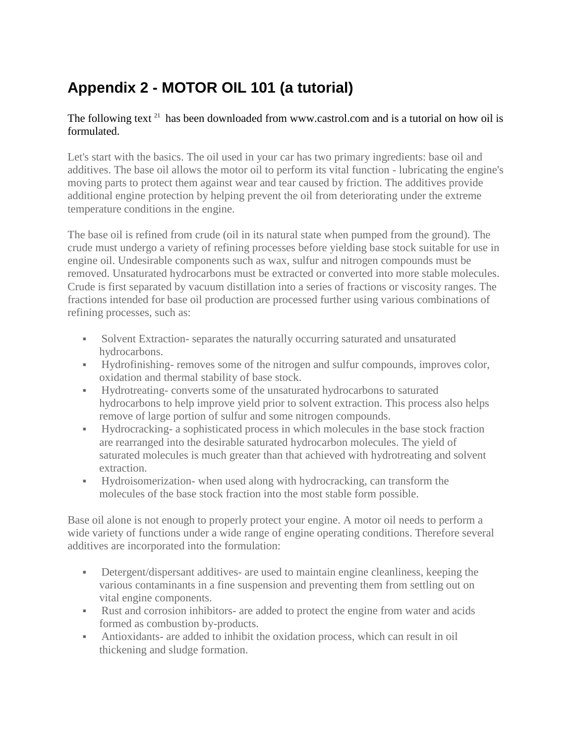# <span id="page-21-0"></span>**Appendix 2 - MOTOR OIL 101 (a tutorial)**

#### The following text  $21$  has been downloaded from www.castrol.com and is a tutorial on how oil is formulated.

Let's start with the basics. The oil used in your car has two primary ingredients: base oil and additives. The base oil allows the motor oil to perform its vital function - lubricating the engine's moving parts to protect them against wear and tear caused by friction. The additives provide additional engine protection by helping prevent the oil from deteriorating under the extreme temperature conditions in the engine.

The base oil is refined from crude (oil in its natural state when pumped from the ground). The crude must undergo a variety of refining processes before yielding base stock suitable for use in engine oil. Undesirable components such as wax, sulfur and nitrogen compounds must be removed. Unsaturated hydrocarbons must be extracted or converted into more stable molecules. Crude is first separated by vacuum distillation into a series of fractions or viscosity ranges. The fractions intended for base oil production are processed further using various combinations of refining processes, such as:

- Solvent Extraction- separates the naturally occurring saturated and unsaturated hydrocarbons.
- Hydrofinishing- removes some of the nitrogen and sulfur compounds, improves color, oxidation and thermal stability of base stock.
- Hydrotreating- converts some of the unsaturated hydrocarbons to saturated hydrocarbons to help improve yield prior to solvent extraction. This process also helps remove of large portion of sulfur and some nitrogen compounds.
- Hydrocracking- a sophisticated process in which molecules in the base stock fraction are rearranged into the desirable saturated hydrocarbon molecules. The yield of saturated molecules is much greater than that achieved with hydrotreating and solvent extraction.
- Hydroisomerization- when used along with hydrocracking, can transform the molecules of the base stock fraction into the most stable form possible.

Base oil alone is not enough to properly protect your engine. A motor oil needs to perform a wide variety of functions under a wide range of engine operating conditions. Therefore several additives are incorporated into the formulation:

- Detergent/dispersant additives- are used to maintain engine cleanliness, keeping the various contaminants in a fine suspension and preventing them from settling out on vital engine components.
- Rust and corrosion inhibitors- are added to protect the engine from water and acids formed as combustion by-products.
- Antioxidants- are added to inhibit the oxidation process, which can result in oil thickening and sludge formation.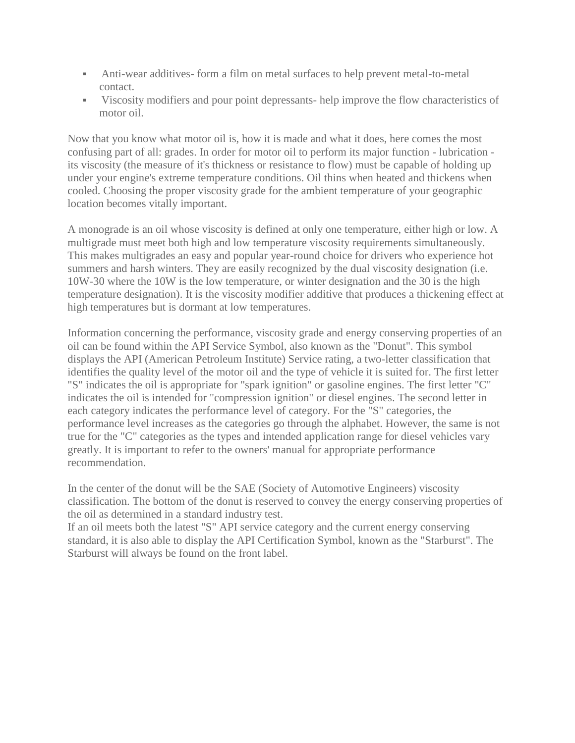- Anti-wear additives- form a film on metal surfaces to help prevent metal-to-metal contact.
- Viscosity modifiers and pour point depressants- help improve the flow characteristics of motor oil.

Now that you know what motor oil is, how it is made and what it does, here comes the most confusing part of all: grades. In order for motor oil to perform its major function - lubrication its viscosity (the measure of it's thickness or resistance to flow) must be capable of holding up under your engine's extreme temperature conditions. Oil thins when heated and thickens when cooled. Choosing the proper viscosity grade for the ambient temperature of your geographic location becomes vitally important.

A monograde is an oil whose viscosity is defined at only one temperature, either high or low. A multigrade must meet both high and low temperature viscosity requirements simultaneously. This makes multigrades an easy and popular year-round choice for drivers who experience hot summers and harsh winters. They are easily recognized by the dual viscosity designation (i.e. 10W-30 where the 10W is the low temperature, or winter designation and the 30 is the high temperature designation). It is the viscosity modifier additive that produces a thickening effect at high temperatures but is dormant at low temperatures.

Information concerning the performance, viscosity grade and energy conserving properties of an oil can be found within the API Service Symbol, also known as the "Donut". This symbol displays the API (American Petroleum Institute) Service rating, a two-letter classification that identifies the quality level of the motor oil and the type of vehicle it is suited for. The first letter "S" indicates the oil is appropriate for "spark ignition" or gasoline engines. The first letter "C" indicates the oil is intended for "compression ignition" or diesel engines. The second letter in each category indicates the performance level of category. For the "S" categories, the performance level increases as the categories go through the alphabet. However, the same is not true for the "C" categories as the types and intended application range for diesel vehicles vary greatly. It is important to refer to the owners' manual for appropriate performance recommendation.

In the center of the donut will be the SAE (Society of Automotive Engineers) viscosity classification. The bottom of the donut is reserved to convey the energy conserving properties of the oil as determined in a standard industry test.

If an oil meets both the latest "S" API service category and the current energy conserving standard, it is also able to display the API Certification Symbol, known as the "Starburst". The Starburst will always be found on the front label.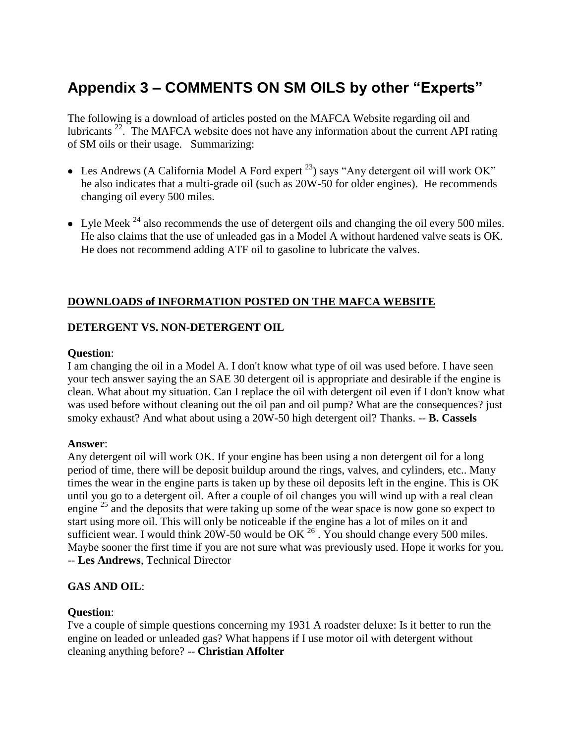# <span id="page-23-0"></span>**Appendix 3 – COMMENTS ON SM OILS by other "Experts"**

The following is a download of articles posted on the MAFCA Website regarding oil and lubricants <sup>22</sup>. The MAFCA website does not have any information about the current API rating of SM oils or their usage. Summarizing:

- Les Andrews (A California Model A Ford expert  $^{23}$ ) says "Any detergent oil will work OK" he also indicates that a multi-grade oil (such as 20W-50 for older engines). He recommends changing oil every 500 miles.
- Lyle Meek  $^{24}$  also recommends the use of detergent oils and changing the oil every 500 miles. He also claims that the use of unleaded gas in a Model A without hardened valve seats is OK. He does not recommend adding ATF oil to gasoline to lubricate the valves.

#### **DOWNLOADS of INFORMATION POSTED ON THE MAFCA WEBSITE**

#### **DETERGENT VS. NON-DETERGENT OIL**

#### **Question**:

I am changing the oil in a Model A. I don't know what type of oil was used before. I have seen your tech answer saying the an SAE 30 detergent oil is appropriate and desirable if the engine is clean. What about my situation. Can I replace the oil with detergent oil even if I don't know what was used before without cleaning out the oil pan and oil pump? What are the consequences? just smoky exhaust? And what about using a 20W-50 high detergent oil? Thanks. -- **B. Cassels**

#### **Answer**:

Any detergent oil will work OK. If your engine has been using a non detergent oil for a long period of time, there will be deposit buildup around the rings, valves, and cylinders, etc.. Many times the wear in the engine parts is taken up by these oil deposits left in the engine. This is OK until you go to a detergent oil. After a couple of oil changes you will wind up with a real clean engine  $^{25}$  and the deposits that were taking up some of the wear space is now gone so expect to start using more oil. This will only be noticeable if the engine has a lot of miles on it and sufficient wear. I would think 20W-50 would be OK  $^{26}$ . You should change every 500 miles. Maybe sooner the first time if you are not sure what was previously used. Hope it works for you. -- **Les Andrews**, Technical Director

#### **GAS AND OIL**:

#### **Question**:

I've a couple of simple questions concerning my 1931 A roadster deluxe: Is it better to run the engine on leaded or unleaded gas? What happens if I use motor oil with detergent without cleaning anything before? -- **Christian Affolter**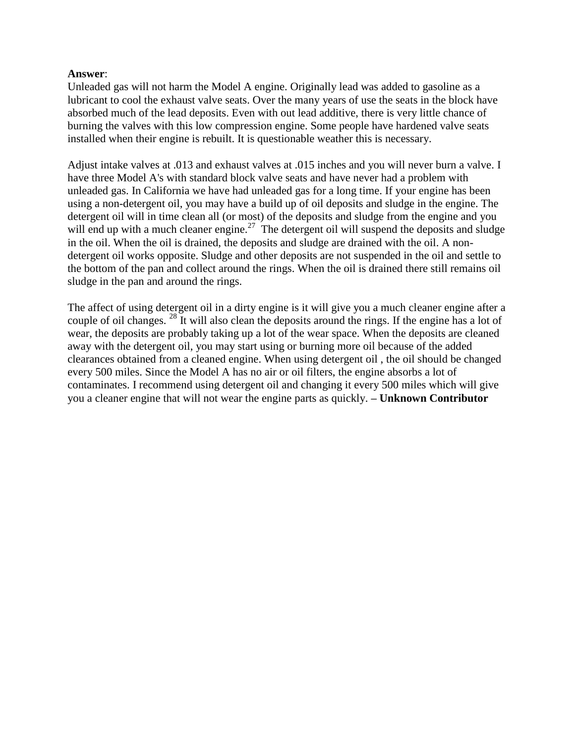#### **Answer**:

Unleaded gas will not harm the Model A engine. Originally lead was added to gasoline as a lubricant to cool the exhaust valve seats. Over the many years of use the seats in the block have absorbed much of the lead deposits. Even with out lead additive, there is very little chance of burning the valves with this low compression engine. Some people have hardened valve seats installed when their engine is rebuilt. It is questionable weather this is necessary.

Adjust intake valves at .013 and exhaust valves at .015 inches and you will never burn a valve. I have three Model A's with standard block valve seats and have never had a problem with unleaded gas. In California we have had unleaded gas for a long time. If your engine has been using a non-detergent oil, you may have a build up of oil deposits and sludge in the engine. The detergent oil will in time clean all (or most) of the deposits and sludge from the engine and you will end up with a much cleaner engine.<sup>27</sup> The detergent oil will suspend the deposits and sludge in the oil. When the oil is drained, the deposits and sludge are drained with the oil. A nondetergent oil works opposite. Sludge and other deposits are not suspended in the oil and settle to the bottom of the pan and collect around the rings. When the oil is drained there still remains oil sludge in the pan and around the rings.

The affect of using detergent oil in a dirty engine is it will give you a much cleaner engine after a couple of oil changes. <sup>28</sup> It will also clean the deposits around the rings. If the engine has a lot of wear, the deposits are probably taking up a lot of the wear space. When the deposits are cleaned away with the detergent oil, you may start using or burning more oil because of the added clearances obtained from a cleaned engine. When using detergent oil , the oil should be changed every 500 miles. Since the Model A has no air or oil filters, the engine absorbs a lot of contaminates. I recommend using detergent oil and changing it every 500 miles which will give you a cleaner engine that will not wear the engine parts as quickly. **– Unknown Contributor**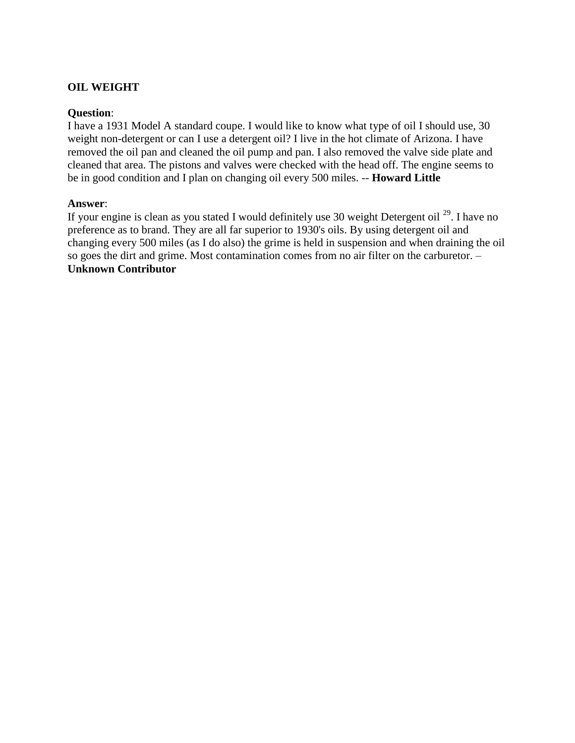#### **OIL WEIGHT**

#### **Question**:

I have a 1931 Model A standard coupe. I would like to know what type of oil I should use, 30 weight non-detergent or can I use a detergent oil? I live in the hot climate of Arizona. I have removed the oil pan and cleaned the oil pump and pan. I also removed the valve side plate and cleaned that area. The pistons and valves were checked with the head off. The engine seems to be in good condition and I plan on changing oil every 500 miles. -- **Howard Little** 

#### **Answer**:

If your engine is clean as you stated I would definitely use 30 weight Detergent oil  $^{29}$ . I have no preference as to brand. They are all far superior to 1930's oils. By using detergent oil and changing every 500 miles (as I do also) the grime is held in suspension and when draining the oil so goes the dirt and grime. Most contamination comes from no air filter on the carburetor. – **Unknown Contributor**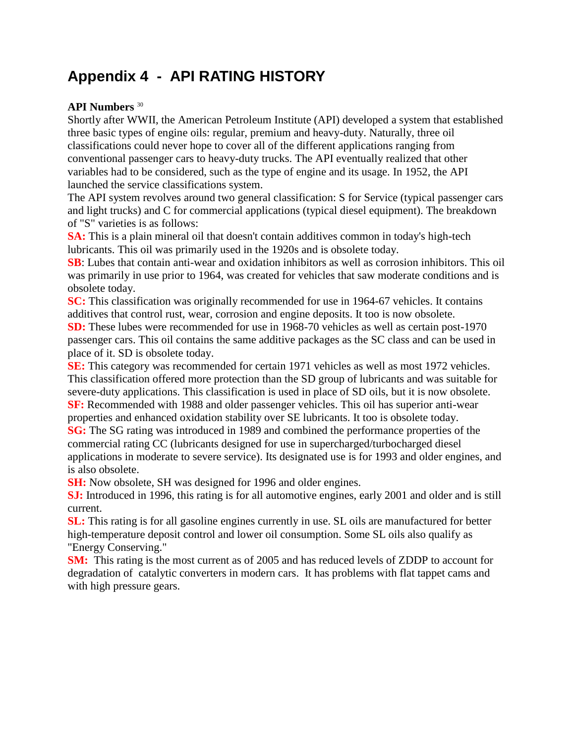# <span id="page-26-0"></span>**Appendix 4 - API RATING HISTORY**

#### **API Numbers** <sup>30</sup>

Shortly after WWII, the American Petroleum Institute (API) developed a system that established three basic types of engine oils: regular, premium and heavy-duty. Naturally, three oil classifications could never hope to cover all of the different applications ranging from conventional passenger cars to heavy-duty trucks. The API eventually realized that other variables had to be considered, such as the type of engine and its usage. In 1952, the API launched the service classifications system.

The API system revolves around two general classification: S for Service (typical passenger cars and light trucks) and C for commercial applications (typical diesel equipment). The breakdown of "S" varieties is as follows:

**SA:** This is a plain mineral oil that doesn't contain additives common in today's high-tech lubricants. This oil was primarily used in the 1920s and is obsolete today.

**SB**: Lubes that contain anti-wear and oxidation inhibitors as well as corrosion inhibitors. This oil was primarily in use prior to 1964, was created for vehicles that saw moderate conditions and is obsolete today.

**SC:** This classification was originally recommended for use in 1964-67 vehicles. It contains additives that control rust, wear, corrosion and engine deposits. It too is now obsolete.

**SD:** These lubes were recommended for use in 1968-70 vehicles as well as certain post-1970 passenger cars. This oil contains the same additive packages as the SC class and can be used in place of it. SD is obsolete today.

**SE:** This category was recommended for certain 1971 vehicles as well as most 1972 vehicles. This classification offered more protection than the SD group of lubricants and was suitable for severe-duty applications. This classification is used in place of SD oils, but it is now obsolete. **SF:** Recommended with 1988 and older passenger vehicles. This oil has superior anti-wear properties and enhanced oxidation stability over SE lubricants. It too is obsolete today.

**SG:** The SG rating was introduced in 1989 and combined the performance properties of the commercial rating CC (lubricants designed for use in supercharged/turbocharged diesel applications in moderate to severe service). Its designated use is for 1993 and older engines, and is also obsolete.

**SH:** Now obsolete, SH was designed for 1996 and older engines.

**SJ:** Introduced in 1996, this rating is for all automotive engines, early 2001 and older and is still current.

**SL:** This rating is for all gasoline engines currently in use. SL oils are manufactured for better high-temperature deposit control and lower oil consumption. Some SL oils also qualify as "Energy Conserving."

**SM:** This rating is the most current as of 2005 and has reduced levels of ZDDP to account for degradation of catalytic converters in modern cars. It has problems with flat tappet cams and with high pressure gears.